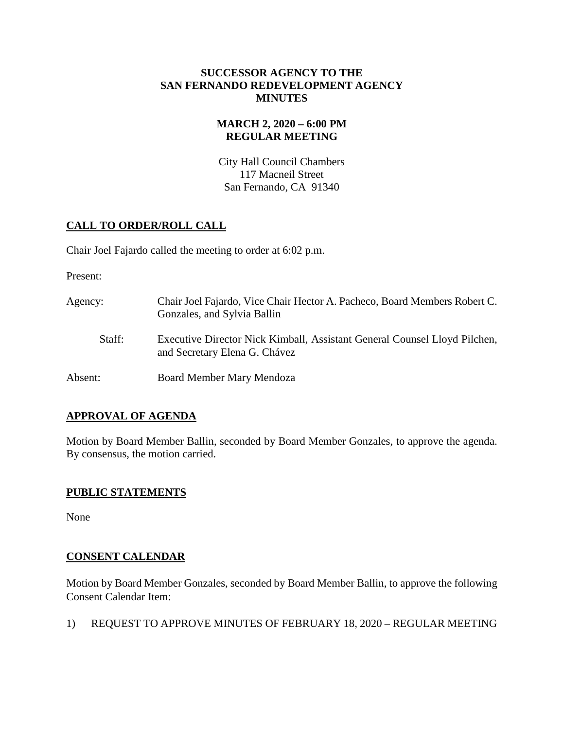#### **SUCCESSOR AGENCY TO THE SAN FERNANDO REDEVELOPMENT AGENCY MINUTES**

## **MARCH 2, 2020 – 6:00 PM REGULAR MEETING**

City Hall Council Chambers 117 Macneil Street San Fernando, CA 91340

# **CALL TO ORDER/ROLL CALL**

Chair Joel Fajardo called the meeting to order at 6:02 p.m.

Present:

Agency: Chair Joel Fajardo, Vice Chair Hector A. Pacheco, Board Members Robert C. Gonzales, and Sylvia Ballin Staff: Executive Director Nick Kimball, Assistant General Counsel Lloyd Pilchen, and Secretary Elena G. Chávez Absent: Board Member Mary Mendoza

## **APPROVAL OF AGENDA**

Motion by Board Member Ballin, seconded by Board Member Gonzales, to approve the agenda. By consensus, the motion carried.

## **PUBLIC STATEMENTS**

None

## **CONSENT CALENDAR**

Motion by Board Member Gonzales, seconded by Board Member Ballin, to approve the following Consent Calendar Item:

1) REQUEST TO APPROVE MINUTES OF FEBRUARY 18, 2020 – REGULAR MEETING